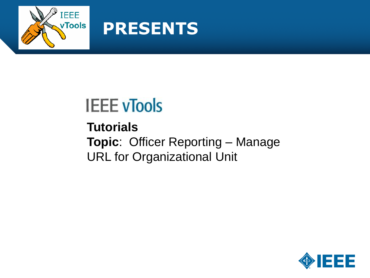

#### **PRESENTS**

#### **IEEE vTools**

**Tutorials Topic**: Officer Reporting – Manage URL for Organizational Unit

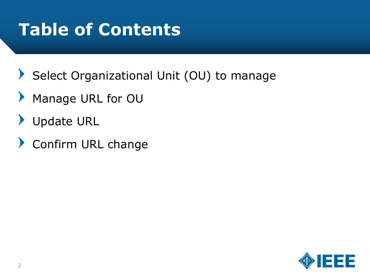#### **Table of Contents**

- Select Organizational Unit (OU) to manage
- $\blacktriangleright$ Manage URL for OU
- Update URL
- Confirm URL change

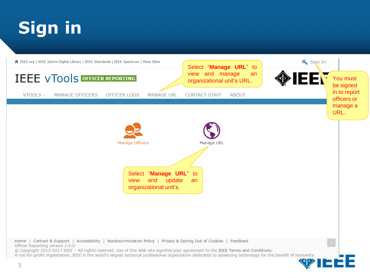### **Sign in**

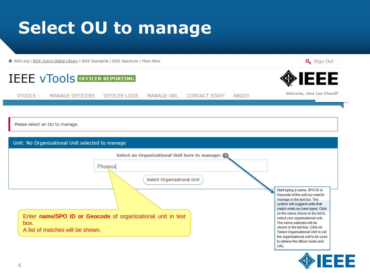#### **Select OU to manage**

↑ IEEE.org | IEEE Xplore Digital Library | IEEE Standards | IEEE Spectrum | More Sites



A list of matches will be shown.

IEEE

'Select Organizational Unit' to set the organizational unit to be used to retrieve the officer roster and

URL.

Q<sub>s</sub> Sign Out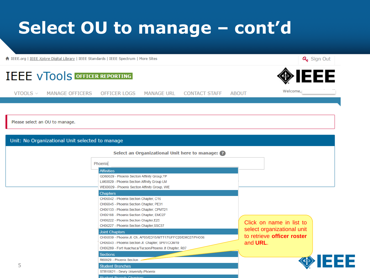#### **Select OU to manage – cont'd**

← IEEE.org | IEEE Xplore Digital Library | IEEE Standards | IEEE Spectrum | More Sites

Q<sub>s</sub> Sign Out



- CH06133 Phoenix Section Chapter, CPMT21 CH06188 - Phoenix Section Chapter, EMC27
- CH06222 Phoenix Section Chapter, E25
- CH06227 Phoenix Section Chapter, SSC37
- **Joint Chapters**
- CH06039 Phoenix Jt. Ch, AP03/ED15/MTT17/UFFC20/EMC27/PHO36
- CH06043 Phoenix Section Jt. Chapter, SP01/COM19 CH06289 - Fort Huachuca/Tucson/Phoenix Jt Chapter, R07
- **Sections**
- R60029 Phoenix Section
- **Student Branches** STB10821 - Devry University-Phoenix
- **Chudont Branch Chaptors**

**EEE** 

Click on name in list to select organizational unit to retrieve **officer roster**

and **URL**.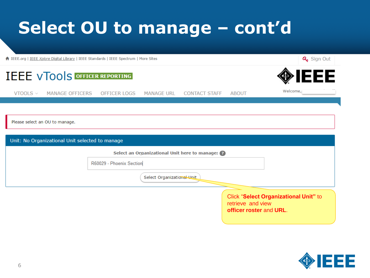### **Select OU to manage – cont'd**

↑ IEEE.org | IEEE Xplore Digital Library | IEEE Standards | IEEE Spectrum | More Sites

Q<sub>s</sub> Sign Out

|               | <b>IEEE VTOOLS OFFICER REPORTING</b>            |                          |                            |                                               |              | ◈IEEE    |
|---------------|-------------------------------------------------|--------------------------|----------------------------|-----------------------------------------------|--------------|----------|
| VTOOLS $\vee$ | MANAGE OFFICERS                                 | OFFICER LOGS             | <b>MANAGE URL</b>          | <b>CONTACT STAFF</b>                          | <b>ABOUT</b> | Welcome, |
|               |                                                 |                          |                            |                                               |              |          |
|               | Please select an OU to manage.                  |                          |                            |                                               |              |          |
|               | Unit: No Organizational Unit selected to manage |                          |                            |                                               |              |          |
|               |                                                 |                          |                            | Select an Organizational Unit here to manage: |              |          |
|               |                                                 | R60029 - Phoenix Section |                            |                                               |              |          |
|               |                                                 |                          |                            |                                               |              |          |
|               |                                                 |                          | Select Organizational Unit |                                               |              |          |

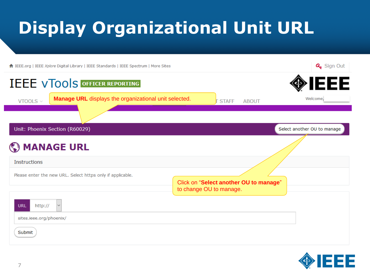## **Display Organizational Unit URL**

↑ IEEE.org | IEEE Xplore Digital Library | IEEE Standards | IEEE Spectrum | More Sites

| <b>IEEE VTOOLS OFFICER REPORTING</b>                                          |                                                                   |              | ◈IEEE                       |
|-------------------------------------------------------------------------------|-------------------------------------------------------------------|--------------|-----------------------------|
| <b>Manage URL</b> displays the organizational unit selected.<br>VTOOLS $\vee$ | <b>STAFF</b>                                                      | <b>ABOUT</b> | Welcome,                    |
|                                                                               |                                                                   |              |                             |
| Unit: Phoenix Section (R60029)                                                |                                                                   |              | Select another OU to manage |
| <b>SMANAGE URL</b>                                                            |                                                                   |              |                             |
| <b>Instructions</b>                                                           |                                                                   |              |                             |
| Please enter the new URL. Select https only if applicable.                    |                                                                   |              |                             |
|                                                                               | Click on "Select another OU to manage"<br>to change OU to manage. |              |                             |
| URL<br>http://<br>$\checkmark$                                                |                                                                   |              |                             |
| sites.ieee.org/phoenix/                                                       |                                                                   |              |                             |
| Submit                                                                        |                                                                   |              |                             |



Q<sub>s</sub> Sign Out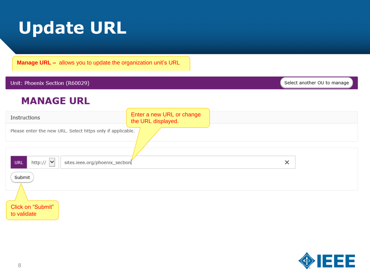### **Update URL**

**Manage URL –** allows you to update the organization unit's URL

#### Unit: Phoenix Section (R60029)

Select another OU to manage

#### **MANAGE URL**

| Instructions                                                           | Enter a new URL or change<br>the URL displayed. |          |  |  |  |
|------------------------------------------------------------------------|-------------------------------------------------|----------|--|--|--|
| Please enter the new URL. Select https only if applicable.             |                                                 |          |  |  |  |
|                                                                        |                                                 |          |  |  |  |
| http:// $ \mathbf{v} $<br><b>URL</b><br>sites.ieee.org/phoenix_section |                                                 | $\times$ |  |  |  |
| Submit                                                                 |                                                 |          |  |  |  |
|                                                                        |                                                 |          |  |  |  |
| Click on "Submit"<br>to validate                                       |                                                 |          |  |  |  |

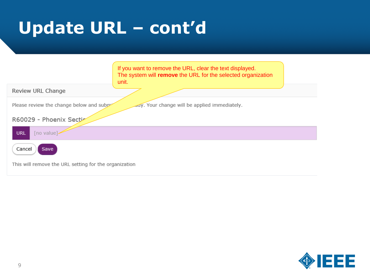### **Update URL – cont'd**

|                                                       | If you want to remove the URL, clear the text displayed.<br>The system will remove the URL for the selected organization<br>unit. |
|-------------------------------------------------------|-----------------------------------------------------------------------------------------------------------------------------------|
| Review URL Change                                     |                                                                                                                                   |
| Please review the change below and subpr              | ady. Your change will be applied immediately.                                                                                     |
| R60029 - Phoenix Section                              |                                                                                                                                   |
| <b>URL</b><br>[no value]                              |                                                                                                                                   |
| Cancel<br>Save                                        |                                                                                                                                   |
| This will remove the URL setting for the organization |                                                                                                                                   |

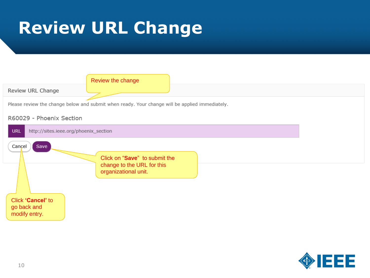### **Review URL Change**